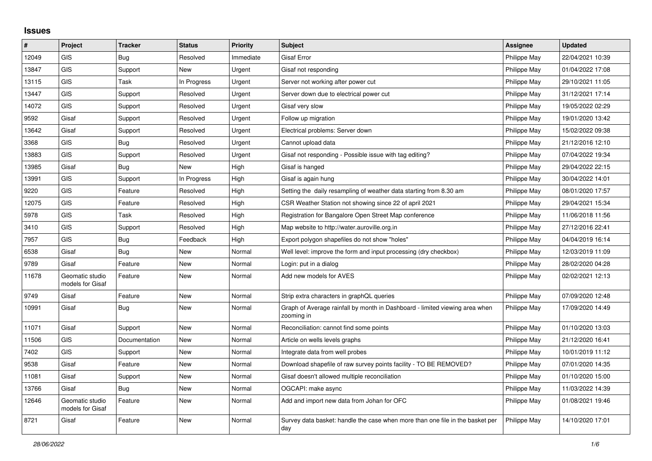## **Issues**

| #     | Project                             | <b>Tracker</b> | <b>Status</b> | <b>Priority</b> | <b>Subject</b>                                                                            | Assignee     | <b>Updated</b>   |
|-------|-------------------------------------|----------------|---------------|-----------------|-------------------------------------------------------------------------------------------|--------------|------------------|
| 12049 | <b>GIS</b>                          | Bug            | Resolved      | Immediate       | <b>Gisaf Error</b>                                                                        | Philippe May | 22/04/2021 10:39 |
| 13847 | <b>GIS</b>                          | Support        | <b>New</b>    | Urgent          | Gisaf not responding                                                                      | Philippe May | 01/04/2022 17:08 |
| 13115 | <b>GIS</b>                          | Task           | In Progress   | Urgent          | Server not working after power cut                                                        | Philippe May | 29/10/2021 11:05 |
| 13447 | <b>GIS</b>                          | Support        | Resolved      | Urgent          | Server down due to electrical power cut                                                   | Philippe May | 31/12/2021 17:14 |
| 14072 | <b>GIS</b>                          | Support        | Resolved      | Urgent          | Gisaf very slow                                                                           | Philippe May | 19/05/2022 02:29 |
| 9592  | Gisaf                               | Support        | Resolved      | Urgent          | Follow up migration                                                                       | Philippe May | 19/01/2020 13:42 |
| 13642 | Gisaf                               | Support        | Resolved      | Urgent          | Electrical problems: Server down                                                          | Philippe May | 15/02/2022 09:38 |
| 3368  | <b>GIS</b>                          | Bug            | Resolved      | Urgent          | Cannot upload data                                                                        | Philippe May | 21/12/2016 12:10 |
| 13883 | <b>GIS</b>                          | Support        | Resolved      | Urgent          | Gisaf not responding - Possible issue with tag editing?                                   | Philippe May | 07/04/2022 19:34 |
| 13985 | Gisaf                               | <b>Bug</b>     | New           | High            | Gisaf is hanged                                                                           | Philippe May | 29/04/2022 22:15 |
| 13991 | <b>GIS</b>                          | Support        | In Progress   | High            | Gisaf is again hung                                                                       | Philippe May | 30/04/2022 14:01 |
| 9220  | GIS                                 | Feature        | Resolved      | High            | Setting the daily resampling of weather data starting from 8.30 am                        | Philippe May | 08/01/2020 17:57 |
| 12075 | <b>GIS</b>                          | Feature        | Resolved      | High            | CSR Weather Station not showing since 22 of april 2021                                    | Philippe May | 29/04/2021 15:34 |
| 5978  | <b>GIS</b>                          | Task           | Resolved      | High            | Registration for Bangalore Open Street Map conference                                     | Philippe May | 11/06/2018 11:56 |
| 3410  | GIS                                 | Support        | Resolved      | High            | Map website to http://water.auroville.org.in                                              | Philippe May | 27/12/2016 22:41 |
| 7957  | <b>GIS</b>                          | Bug            | Feedback      | High            | Export polygon shapefiles do not show "holes"                                             | Philippe May | 04/04/2019 16:14 |
| 6538  | Gisaf                               | <b>Bug</b>     | New           | Normal          | Well level: improve the form and input processing (dry checkbox)                          | Philippe May | 12/03/2019 11:09 |
| 9789  | Gisaf                               | Feature        | <b>New</b>    | Normal          | Login: put in a dialog                                                                    | Philippe May | 28/02/2020 04:28 |
| 11678 | Geomatic studio<br>models for Gisaf | Feature        | <b>New</b>    | Normal          | Add new models for AVES                                                                   | Philippe May | 02/02/2021 12:13 |
| 9749  | Gisaf                               | Feature        | <b>New</b>    | Normal          | Strip extra characters in graphQL queries                                                 | Philippe May | 07/09/2020 12:48 |
| 10991 | Gisaf                               | Bug            | New           | Normal          | Graph of Average rainfall by month in Dashboard - limited viewing area when<br>zooming in | Philippe May | 17/09/2020 14:49 |
| 11071 | Gisaf                               | Support        | New           | Normal          | Reconciliation: cannot find some points                                                   | Philippe May | 01/10/2020 13:03 |
| 11506 | <b>GIS</b>                          | Documentation  | New           | Normal          | Article on wells levels graphs                                                            | Philippe May | 21/12/2020 16:41 |
| 7402  | <b>GIS</b>                          | Support        | <b>New</b>    | Normal          | Integrate data from well probes                                                           | Philippe May | 10/01/2019 11:12 |
| 9538  | Gisaf                               | Feature        | New           | Normal          | Download shapefile of raw survey points facility - TO BE REMOVED?                         | Philippe May | 07/01/2020 14:35 |
| 11081 | Gisaf                               | Support        | New           | Normal          | Gisaf doesn't allowed multiple reconciliation                                             | Philippe May | 01/10/2020 15:00 |
| 13766 | Gisaf                               | Bug            | New           | Normal          | OGCAPI: make async                                                                        | Philippe May | 11/03/2022 14:39 |
| 12646 | Geomatic studio<br>models for Gisaf | Feature        | <b>New</b>    | Normal          | Add and import new data from Johan for OFC                                                | Philippe May | 01/08/2021 19:46 |
| 8721  | Gisaf                               | Feature        | <b>New</b>    | Normal          | Survey data basket: handle the case when more than one file in the basket per<br>day      | Philippe May | 14/10/2020 17:01 |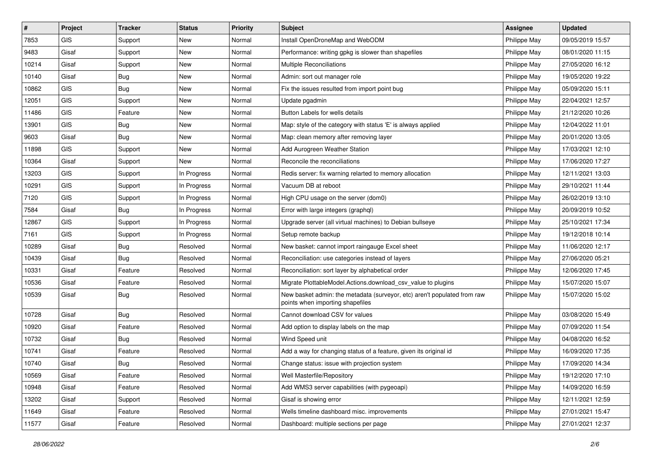| $\sharp$ | Project    | <b>Tracker</b> | <b>Status</b> | Priority | <b>Subject</b>                                                                                               | <b>Assignee</b> | <b>Updated</b>   |
|----------|------------|----------------|---------------|----------|--------------------------------------------------------------------------------------------------------------|-----------------|------------------|
| 7853     | <b>GIS</b> | Support        | New           | Normal   | Install OpenDroneMap and WebODM                                                                              | Philippe May    | 09/05/2019 15:57 |
| 9483     | Gisaf      | Support        | New           | Normal   | Performance: writing gpkg is slower than shapefiles                                                          | Philippe May    | 08/01/2020 11:15 |
| 10214    | Gisaf      | Support        | New           | Normal   | <b>Multiple Reconciliations</b>                                                                              | Philippe May    | 27/05/2020 16:12 |
| 10140    | Gisaf      | <b>Bug</b>     | New           | Normal   | Admin: sort out manager role                                                                                 | Philippe May    | 19/05/2020 19:22 |
| 10862    | <b>GIS</b> | Bug            | New           | Normal   | Fix the issues resulted from import point bug                                                                | Philippe May    | 05/09/2020 15:11 |
| 12051    | <b>GIS</b> | Support        | New           | Normal   | Update pgadmin                                                                                               | Philippe May    | 22/04/2021 12:57 |
| 11486    | GIS        | Feature        | New           | Normal   | Button Labels for wells details                                                                              | Philippe May    | 21/12/2020 10:26 |
| 13901    | GIS        | <b>Bug</b>     | New           | Normal   | Map: style of the category with status 'E' is always applied                                                 | Philippe May    | 12/04/2022 11:01 |
| 9603     | Gisaf      | <b>Bug</b>     | New           | Normal   | Map: clean memory after removing layer                                                                       | Philippe May    | 20/01/2020 13:05 |
| 11898    | GIS        | Support        | New           | Normal   | Add Aurogreen Weather Station                                                                                | Philippe May    | 17/03/2021 12:10 |
| 10364    | Gisaf      | Support        | New           | Normal   | Reconcile the reconciliations                                                                                | Philippe May    | 17/06/2020 17:27 |
| 13203    | GIS        | Support        | In Progress   | Normal   | Redis server: fix warning relarted to memory allocation                                                      | Philippe May    | 12/11/2021 13:03 |
| 10291    | GIS        | Support        | In Progress   | Normal   | Vacuum DB at reboot                                                                                          | Philippe May    | 29/10/2021 11:44 |
| 7120     | GIS        | Support        | In Progress   | Normal   | High CPU usage on the server (dom0)                                                                          | Philippe May    | 26/02/2019 13:10 |
| 7584     | Gisaf      | <b>Bug</b>     | In Progress   | Normal   | Error with large integers (graphql)                                                                          | Philippe May    | 20/09/2019 10:52 |
| 12867    | GIS        | Support        | In Progress   | Normal   | Upgrade server (all virtual machines) to Debian bullseye                                                     | Philippe May    | 25/10/2021 17:34 |
| 7161     | GIS        | Support        | In Progress   | Normal   | Setup remote backup                                                                                          | Philippe May    | 19/12/2018 10:14 |
| 10289    | Gisaf      | Bug            | Resolved      | Normal   | New basket: cannot import raingauge Excel sheet                                                              | Philippe May    | 11/06/2020 12:17 |
| 10439    | Gisaf      | Bug            | Resolved      | Normal   | Reconciliation: use categories instead of layers                                                             | Philippe May    | 27/06/2020 05:21 |
| 10331    | Gisaf      | Feature        | Resolved      | Normal   | Reconciliation: sort layer by alphabetical order                                                             | Philippe May    | 12/06/2020 17:45 |
| 10536    | Gisaf      | Feature        | Resolved      | Normal   | Migrate PlottableModel.Actions.download csv value to plugins                                                 | Philippe May    | 15/07/2020 15:07 |
| 10539    | Gisaf      | Bug            | Resolved      | Normal   | New basket admin: the metadata (surveyor, etc) aren't populated from raw<br>points when importing shapefiles | Philippe May    | 15/07/2020 15:02 |
| 10728    | Gisaf      | Bug            | Resolved      | Normal   | Cannot download CSV for values                                                                               | Philippe May    | 03/08/2020 15:49 |
| 10920    | Gisaf      | Feature        | Resolved      | Normal   | Add option to display labels on the map                                                                      | Philippe May    | 07/09/2020 11:54 |
| 10732    | Gisaf      | Bug            | Resolved      | Normal   | Wind Speed unit                                                                                              | Philippe May    | 04/08/2020 16:52 |
| 10741    | Gisaf      | Feature        | Resolved      | Normal   | Add a way for changing status of a feature, given its original id                                            | Philippe May    | 16/09/2020 17:35 |
| 10740    | Gisaf      | Bug            | Resolved      | Normal   | Change status: issue with projection system                                                                  | Philippe May    | 17/09/2020 14:34 |
| 10569    | Gisaf      | Feature        | Resolved      | Normal   | Well Masterfile/Repository                                                                                   | Philippe May    | 19/12/2020 17:10 |
| 10948    | Gisaf      | Feature        | Resolved      | Normal   | Add WMS3 server capabilities (with pygeoapi)                                                                 | Philippe May    | 14/09/2020 16:59 |
| 13202    | Gisaf      | Support        | Resolved      | Normal   | Gisaf is showing error                                                                                       | Philippe May    | 12/11/2021 12:59 |
| 11649    | Gisaf      | Feature        | Resolved      | Normal   | Wells timeline dashboard misc. improvements                                                                  | Philippe May    | 27/01/2021 15:47 |
| 11577    | Gisaf      | Feature        | Resolved      | Normal   | Dashboard: multiple sections per page                                                                        | Philippe May    | 27/01/2021 12:37 |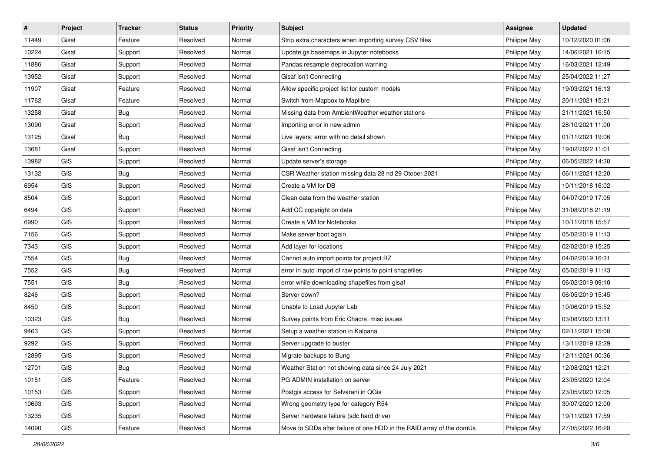| #     | Project    | <b>Tracker</b> | <b>Status</b> | <b>Priority</b> | <b>Subject</b>                                                       | <b>Assignee</b> | <b>Updated</b>   |
|-------|------------|----------------|---------------|-----------------|----------------------------------------------------------------------|-----------------|------------------|
| 11449 | Gisaf      | Feature        | Resolved      | Normal          | Strip extra characters when importing survey CSV files               | Philippe May    | 10/12/2020 01:06 |
| 10224 | Gisaf      | Support        | Resolved      | Normal          | Update gs.basemaps in Jupyter notebooks                              | Philippe May    | 14/06/2021 16:15 |
| 11886 | Gisaf      | Support        | Resolved      | Normal          | Pandas resample deprecation warning                                  | Philippe May    | 16/03/2021 12:49 |
| 13952 | Gisaf      | Support        | Resolved      | Normal          | Gisaf isn't Connecting                                               | Philippe May    | 25/04/2022 11:27 |
| 11907 | Gisaf      | Feature        | Resolved      | Normal          | Allow specific project list for custom models                        | Philippe May    | 19/03/2021 16:13 |
| 11762 | Gisaf      | Feature        | Resolved      | Normal          | Switch from Mapbox to Maplibre                                       | Philippe May    | 20/11/2021 15:21 |
| 13258 | Gisaf      | Bug            | Resolved      | Normal          | Missing data from AmbientWeather weather stations                    | Philippe May    | 21/11/2021 16:50 |
| 13090 | Gisaf      | Support        | Resolved      | Normal          | Importing error in new admin                                         | Philippe May    | 28/10/2021 11:00 |
| 13125 | Gisaf      | <b>Bug</b>     | Resolved      | Normal          | Live layers: error with no detail shown                              | Philippe May    | 01/11/2021 19:06 |
| 13681 | Gisaf      | Support        | Resolved      | Normal          | Gisaf isn't Connecting                                               | Philippe May    | 19/02/2022 11:01 |
| 13982 | GIS        | Support        | Resolved      | Normal          | Update server's storage                                              | Philippe May    | 06/05/2022 14:38 |
| 13132 | GIS        | <b>Bug</b>     | Resolved      | Normal          | CSR Weather station missing data 28 nd 29 Otober 2021                | Philippe May    | 06/11/2021 12:20 |
| 6954  | GIS        | Support        | Resolved      | Normal          | Create a VM for DB                                                   | Philippe May    | 10/11/2018 16:02 |
| 8504  | GIS        | Support        | Resolved      | Normal          | Clean data from the weather station                                  | Philippe May    | 04/07/2019 17:05 |
| 6494  | GIS        | Support        | Resolved      | Normal          | Add CC copyright on data                                             | Philippe May    | 31/08/2018 21:19 |
| 6990  | GIS        | Support        | Resolved      | Normal          | Create a VM for Notebooks                                            | Philippe May    | 10/11/2018 15:57 |
| 7156  | GIS        | Support        | Resolved      | Normal          | Make server boot again                                               | Philippe May    | 05/02/2019 11:13 |
| 7343  | GIS        | Support        | Resolved      | Normal          | Add layer for locations                                              | Philippe May    | 02/02/2019 15:25 |
| 7554  | GIS        | <b>Bug</b>     | Resolved      | Normal          | Cannot auto import points for project RZ                             | Philippe May    | 04/02/2019 16:31 |
| 7552  | GIS        | <b>Bug</b>     | Resolved      | Normal          | error in auto import of raw points to point shapefiles               | Philippe May    | 05/02/2019 11:13 |
| 7551  | GIS        | Bug            | Resolved      | Normal          | error while downloading shapefiles from gisaf                        | Philippe May    | 06/02/2019 09:10 |
| 8246  | GIS        | Support        | Resolved      | Normal          | Server down?                                                         | Philippe May    | 06/05/2019 15:45 |
| 8450  | GIS        | Support        | Resolved      | Normal          | Unable to Load Jupyter Lab                                           | Philippe May    | 10/06/2019 15:52 |
| 10323 | GIS        | Bug            | Resolved      | Normal          | Survey points from Eric Chacra: misc issues                          | Philippe May    | 03/08/2020 13:11 |
| 9463  | <b>GIS</b> | Support        | Resolved      | Normal          | Setup a weather station in Kalpana                                   | Philippe May    | 02/11/2021 15:08 |
| 9292  | GIS        | Support        | Resolved      | Normal          | Server upgrade to buster                                             | Philippe May    | 13/11/2019 12:29 |
| 12895 | GIS        | Support        | Resolved      | Normal          | Migrate backups to Bung                                              | Philippe May    | 12/11/2021 00:36 |
| 12701 | GIS        | Bug            | Resolved      | Normal          | Weather Station not showing data since 24 July 2021                  | Philippe May    | 12/08/2021 12:21 |
| 10151 | <b>GIS</b> | Feature        | Resolved      | Normal          | PG ADMIN installation on server                                      | Philippe May    | 23/05/2020 12:04 |
| 10153 | GIS        | Support        | Resolved      | Normal          | Postgis access for Selvarani in QGis                                 | Philippe May    | 23/05/2020 12:05 |
| 10693 | GIS        | Support        | Resolved      | Normal          | Wrong geometry type for category R54                                 | Philippe May    | 30/07/2020 12:00 |
| 13235 | GIS        | Support        | Resolved      | Normal          | Server hardware failure (sdc hard drive)                             | Philippe May    | 19/11/2021 17:59 |
| 14090 | GIS        | Feature        | Resolved      | Normal          | Move to SDDs after failure of one HDD in the RAID array of the domUs | Philippe May    | 27/05/2022 16:28 |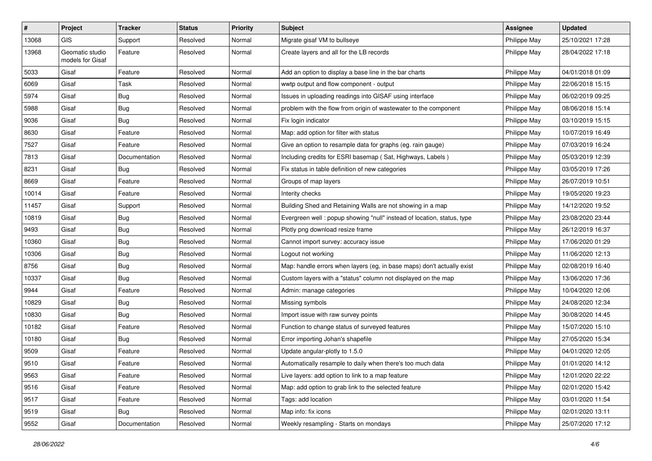| #     | Project                             | <b>Tracker</b> | <b>Status</b> | <b>Priority</b> | <b>Subject</b>                                                         | <b>Assignee</b> | <b>Updated</b>   |
|-------|-------------------------------------|----------------|---------------|-----------------|------------------------------------------------------------------------|-----------------|------------------|
| 13068 | <b>GIS</b>                          | Support        | Resolved      | Normal          | Migrate gisaf VM to bullseye                                           | Philippe May    | 25/10/2021 17:28 |
| 13968 | Geomatic studio<br>models for Gisaf | Feature        | Resolved      | Normal          | Create layers and all for the LB records                               | Philippe May    | 28/04/2022 17:18 |
| 5033  | Gisaf                               | Feature        | Resolved      | Normal          | Add an option to display a base line in the bar charts                 | Philippe May    | 04/01/2018 01:09 |
| 6069  | Gisaf                               | Task           | Resolved      | Normal          | wwtp output and flow component - output                                | Philippe May    | 22/06/2018 15:15 |
| 5974  | Gisaf                               | <b>Bug</b>     | Resolved      | Normal          | Issues in uploading readings into GISAF using interface                | Philippe May    | 06/02/2019 09:25 |
| 5988  | Gisaf                               | Bug            | Resolved      | Normal          | problem with the flow from origin of wastewater to the component       | Philippe May    | 08/06/2018 15:14 |
| 9036  | Gisaf                               | <b>Bug</b>     | Resolved      | Normal          | Fix login indicator                                                    | Philippe May    | 03/10/2019 15:15 |
| 8630  | Gisaf                               | Feature        | Resolved      | Normal          | Map: add option for filter with status                                 | Philippe May    | 10/07/2019 16:49 |
| 7527  | Gisaf                               | Feature        | Resolved      | Normal          | Give an option to resample data for graphs (eg. rain gauge)            | Philippe May    | 07/03/2019 16:24 |
| 7813  | Gisaf                               | Documentation  | Resolved      | Normal          | Including credits for ESRI basemap (Sat, Highways, Labels)             | Philippe May    | 05/03/2019 12:39 |
| 8231  | Gisaf                               | <b>Bug</b>     | Resolved      | Normal          | Fix status in table definition of new categories                       | Philippe May    | 03/05/2019 17:26 |
| 8669  | Gisaf                               | Feature        | Resolved      | Normal          | Groups of map layers                                                   | Philippe May    | 26/07/2019 10:51 |
| 10014 | Gisaf                               | Feature        | Resolved      | Normal          | Interity checks                                                        | Philippe May    | 19/05/2020 19:23 |
| 11457 | Gisaf                               | Support        | Resolved      | Normal          | Building Shed and Retaining Walls are not showing in a map             | Philippe May    | 14/12/2020 19:52 |
| 10819 | Gisaf                               | <b>Bug</b>     | Resolved      | Normal          | Evergreen well: popup showing "null" instead of location, status, type | Philippe May    | 23/08/2020 23:44 |
| 9493  | Gisaf                               | Bug            | Resolved      | Normal          | Plotly png download resize frame                                       | Philippe May    | 26/12/2019 16:37 |
| 10360 | Gisaf                               | <b>Bug</b>     | Resolved      | Normal          | Cannot import survey: accuracy issue                                   | Philippe May    | 17/06/2020 01:29 |
| 10306 | Gisaf                               | <b>Bug</b>     | Resolved      | Normal          | Logout not working                                                     | Philippe May    | 11/06/2020 12:13 |
| 8756  | Gisaf                               | Bug            | Resolved      | Normal          | Map: handle errors when layers (eg, in base maps) don't actually exist | Philippe May    | 02/08/2019 16:40 |
| 10337 | Gisaf                               | <b>Bug</b>     | Resolved      | Normal          | Custom layers with a "status" column not displayed on the map          | Philippe May    | 13/06/2020 17:36 |
| 9944  | Gisaf                               | Feature        | Resolved      | Normal          | Admin: manage categories                                               | Philippe May    | 10/04/2020 12:06 |
| 10829 | Gisaf                               | <b>Bug</b>     | Resolved      | Normal          | Missing symbols                                                        | Philippe May    | 24/08/2020 12:34 |
| 10830 | Gisaf                               | <b>Bug</b>     | Resolved      | Normal          | Import issue with raw survey points                                    | Philippe May    | 30/08/2020 14:45 |
| 10182 | Gisaf                               | Feature        | Resolved      | Normal          | Function to change status of surveyed features                         | Philippe May    | 15/07/2020 15:10 |
| 10180 | Gisaf                               | <b>Bug</b>     | Resolved      | Normal          | Error importing Johan's shapefile                                      | Philippe May    | 27/05/2020 15:34 |
| 9509  | Gisaf                               | Feature        | Resolved      | Normal          | Update angular-plotly to 1.5.0                                         | Philippe May    | 04/01/2020 12:05 |
| 9510  | Gisaf                               | Feature        | Resolved      | Normal          | Automatically resample to daily when there's too much data             | Philippe May    | 01/01/2020 14:12 |
| 9563  | Gisaf                               | Feature        | Resolved      | Normal          | Live layers: add option to link to a map feature                       | Philippe May    | 12/01/2020 22:22 |
| 9516  | Gisaf                               | Feature        | Resolved      | Normal          | Map: add option to grab link to the selected feature                   | Philippe May    | 02/01/2020 15:42 |
| 9517  | Gisaf                               | Feature        | Resolved      | Normal          | Tags: add location                                                     | Philippe May    | 03/01/2020 11:54 |
| 9519  | Gisaf                               | Bug            | Resolved      | Normal          | Map info: fix icons                                                    | Philippe May    | 02/01/2020 13:11 |
| 9552  | Gisaf                               | Documentation  | Resolved      | Normal          | Weekly resampling - Starts on mondays                                  | Philippe May    | 25/07/2020 17:12 |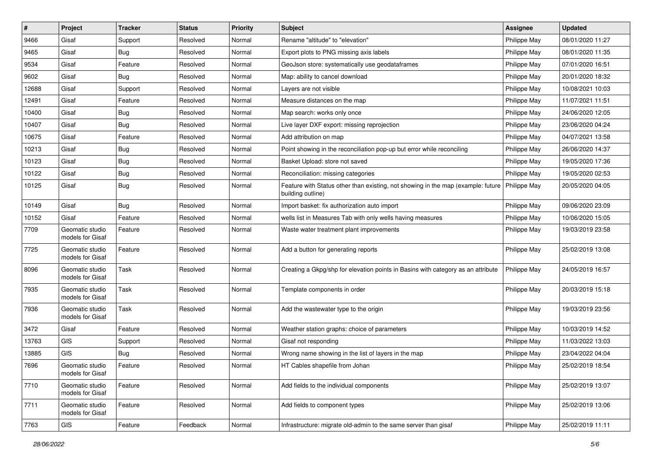| $\sharp$ | Project                             | <b>Tracker</b> | <b>Status</b> | <b>Priority</b> | <b>Subject</b>                                                                                        | Assignee     | <b>Updated</b>   |
|----------|-------------------------------------|----------------|---------------|-----------------|-------------------------------------------------------------------------------------------------------|--------------|------------------|
| 9466     | Gisaf                               | Support        | Resolved      | Normal          | Rename "altitude" to "elevation"                                                                      | Philippe May | 08/01/2020 11:27 |
| 9465     | Gisaf                               | Bug            | Resolved      | Normal          | Export plots to PNG missing axis labels                                                               | Philippe May | 08/01/2020 11:35 |
| 9534     | Gisaf                               | Feature        | Resolved      | Normal          | GeoJson store: systematically use geodataframes                                                       | Philippe May | 07/01/2020 16:51 |
| 9602     | Gisaf                               | <b>Bug</b>     | Resolved      | Normal          | Map: ability to cancel download                                                                       | Philippe May | 20/01/2020 18:32 |
| 12688    | Gisaf                               | Support        | Resolved      | Normal          | Layers are not visible                                                                                | Philippe May | 10/08/2021 10:03 |
| 12491    | Gisaf                               | Feature        | Resolved      | Normal          | Measure distances on the map                                                                          | Philippe May | 11/07/2021 11:51 |
| 10400    | Gisaf                               | <b>Bug</b>     | Resolved      | Normal          | Map search: works only once                                                                           | Philippe May | 24/06/2020 12:05 |
| 10407    | Gisaf                               | Bug            | Resolved      | Normal          | Live layer DXF export: missing reprojection                                                           | Philippe May | 23/06/2020 04:24 |
| 10675    | Gisaf                               | Feature        | Resolved      | Normal          | Add attribution on map                                                                                | Philippe May | 04/07/2021 13:58 |
| 10213    | Gisaf                               | <b>Bug</b>     | Resolved      | Normal          | Point showing in the reconciliation pop-up but error while reconciling                                | Philippe May | 26/06/2020 14:37 |
| 10123    | Gisaf                               | <b>Bug</b>     | Resolved      | Normal          | Basket Upload: store not saved                                                                        | Philippe May | 19/05/2020 17:36 |
| 10122    | Gisaf                               | <b>Bug</b>     | Resolved      | Normal          | Reconciliation: missing categories                                                                    | Philippe May | 19/05/2020 02:53 |
| 10125    | Gisaf                               | Bug            | Resolved      | Normal          | Feature with Status other than existing, not showing in the map (example: future<br>building outline) | Philippe May | 20/05/2020 04:05 |
| 10149    | Gisaf                               | Bug            | Resolved      | Normal          | Import basket: fix authorization auto import                                                          | Philippe May | 09/06/2020 23:09 |
| 10152    | Gisaf                               | Feature        | Resolved      | Normal          | wells list in Measures Tab with only wells having measures                                            | Philippe May | 10/06/2020 15:05 |
| 7709     | Geomatic studio<br>models for Gisaf | Feature        | Resolved      | Normal          | Waste water treatment plant improvements                                                              | Philippe May | 19/03/2019 23:58 |
| 7725     | Geomatic studio<br>models for Gisaf | Feature        | Resolved      | Normal          | Add a button for generating reports                                                                   | Philippe May | 25/02/2019 13:08 |
| 8096     | Geomatic studio<br>models for Gisaf | Task           | Resolved      | Normal          | Creating a Gkpg/shp for elevation points in Basins with category as an attribute                      | Philippe May | 24/05/2019 16:57 |
| 7935     | Geomatic studio<br>models for Gisaf | Task           | Resolved      | Normal          | Template components in order                                                                          | Philippe May | 20/03/2019 15:18 |
| 7936     | Geomatic studio<br>models for Gisaf | Task           | Resolved      | Normal          | Add the wastewater type to the origin                                                                 | Philippe May | 19/03/2019 23:56 |
| 3472     | Gisaf                               | Feature        | Resolved      | Normal          | Weather station graphs: choice of parameters                                                          | Philippe May | 10/03/2019 14:52 |
| 13763    | GIS                                 | Support        | Resolved      | Normal          | Gisaf not responding                                                                                  | Philippe May | 11/03/2022 13:03 |
| 13885    | <b>GIS</b>                          | Bug            | Resolved      | Normal          | Wrong name showing in the list of layers in the map                                                   | Philippe May | 23/04/2022 04:04 |
| 7696     | Geomatic studio<br>models for Gisaf | Feature        | Resolved      | Normal          | HT Cables shapefile from Johan                                                                        | Philippe May | 25/02/2019 18:54 |
| 7710     | Geomatic studio<br>models for Gisaf | Feature        | Resolved      | Normal          | Add fields to the individual components                                                               | Philippe May | 25/02/2019 13:07 |
| 7711     | Geomatic studio<br>models for Gisaf | Feature        | Resolved      | Normal          | Add fields to component types                                                                         | Philippe May | 25/02/2019 13:06 |
| 7763     | GIS                                 | Feature        | Feedback      | Normal          | Infrastructure: migrate old-admin to the same server than gisaf                                       | Philippe May | 25/02/2019 11:11 |